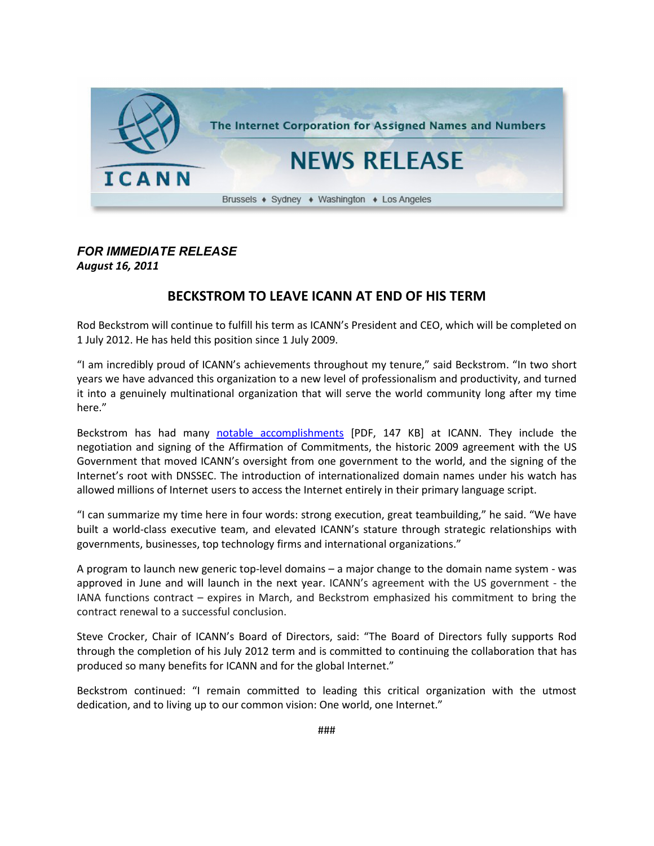

## *FOR IMMEDIATE RELEASE August 16, 2011*

## **BECKSTROM TO LEAVE ICANN AT END OF HIS TERM**

Rod Beckstrom will continue to fulfill his term as ICANN's President and CEO, which will be completed on 1 July 2012. He has held this position since 1 July 2009.

"I am incredibly proud of ICANN's achievements throughout my tenure," said Beckstrom. "In two short years we have advanced this organization to a new level of professionalism and productivity, and turned it into a genuinely multinational organization that will serve the world community long after my time here."

Beckstrom has had many [notable accomplishments](http://www.icann.org/en/biog/factsheet-beckstrom-accomplishments-16aug11-en.pdf) [PDF, 147 KB] at ICANN. They include the negotiation and signing of the Affirmation of Commitments, the historic 2009 agreement with the US Government that moved ICANN's oversight from one government to the world, and the signing of the Internet's root with DNSSEC. The introduction of internationalized domain names under his watch has allowed millions of Internet users to access the Internet entirely in their primary language script.

"I can summarize my time here in four words: strong execution, great teambuilding," he said. "We have built a world-class executive team, and elevated ICANN's stature through strategic relationships with governments, businesses, top technology firms and international organizations."

A program to launch new generic top-level domains – a major change to the domain name system - was approved in June and will launch in the next year. ICANN's agreement with the US government - the IANA functions contract – expires in March, and Beckstrom emphasized his commitment to bring the contract renewal to a successful conclusion.

Steve Crocker, Chair of ICANN's Board of Directors, said: "The Board of Directors fully supports Rod through the completion of his July 2012 term and is committed to continuing the collaboration that has produced so many benefits for ICANN and for the global Internet."

Beckstrom continued: "I remain committed to leading this critical organization with the utmost dedication, and to living up to our common vision: One world, one Internet."